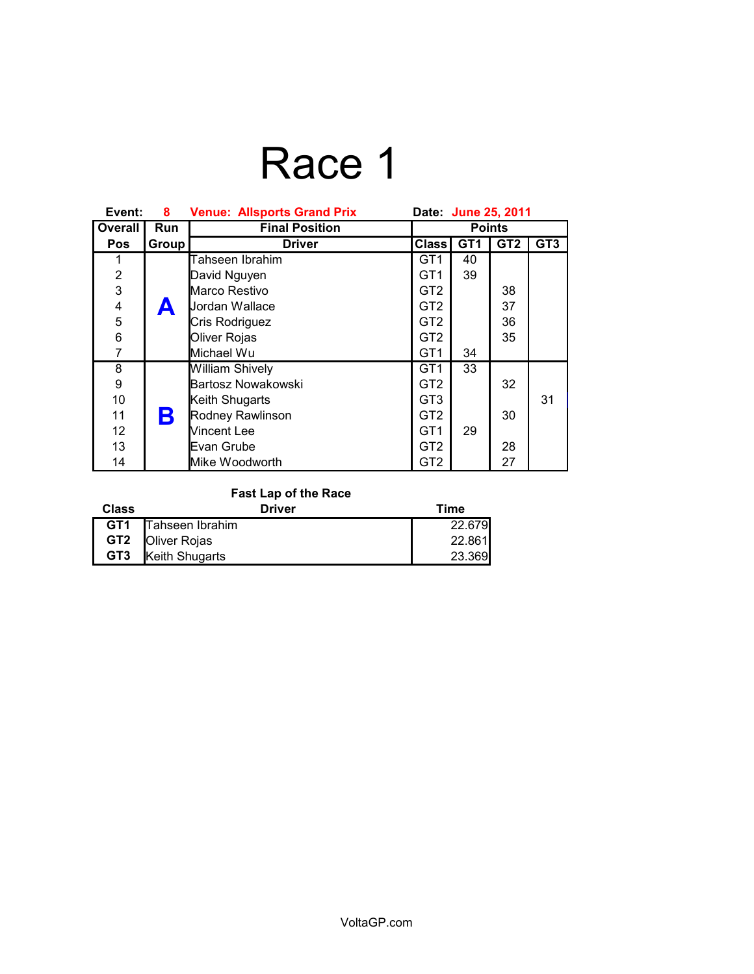### Race 1

| Event:                  | 8.               | <b>Venue: Allsports Grand Prix</b><br>Date: June 25, 2011 |                 |                 |                 |                 |
|-------------------------|------------------|-----------------------------------------------------------|-----------------|-----------------|-----------------|-----------------|
| <b>Overall</b>          | <b>Run</b>       | <b>Final Position</b>                                     | <b>Points</b>   |                 |                 |                 |
| <b>Pos</b>              | Group            | <b>Driver</b>                                             | <b>Class</b>    | GT <sub>1</sub> | GT <sub>2</sub> | GT <sub>3</sub> |
|                         |                  | Tahseen Ibrahim                                           | GT <sub>1</sub> | 40              |                 |                 |
| $\overline{\mathbf{c}}$ |                  | David Nguyen                                              | GT <sub>1</sub> | 39              |                 |                 |
| 3                       |                  | Marco Restivo                                             | GT <sub>2</sub> |                 | 38              |                 |
| 4                       | $\blacktriangle$ | Jordan Wallace                                            | GT <sub>2</sub> |                 | 37              |                 |
| 5                       |                  | Cris Rodriguez                                            | GT <sub>2</sub> |                 | 36              |                 |
| 6                       |                  | Oliver Rojas                                              | GT <sub>2</sub> |                 | 35              |                 |
| $\overline{7}$          |                  | Michael Wu                                                | GT <sub>1</sub> | 34              |                 |                 |
| 8                       |                  | <b>William Shively</b>                                    | GT <sub>1</sub> | 33              |                 |                 |
| 9                       |                  | Bartosz Nowakowski                                        | GT <sub>2</sub> |                 | 32              |                 |
| 10                      |                  | Keith Shugarts                                            | GT <sub>3</sub> |                 |                 | 31              |
| 11                      | Β                | Rodney Rawlinson                                          | GT <sub>2</sub> |                 | 30              |                 |
| 12                      |                  | Vincent Lee                                               | GT <sub>1</sub> | 29              |                 |                 |
| 13                      |                  | Evan Grube                                                | GT <sub>2</sub> |                 | 28              |                 |
| 14                      |                  | Mike Woodworth                                            | GT <sub>2</sub> |                 | 27              |                 |

### **Fast Lap of the Race**

| Class | Driver                  | Time   |
|-------|-------------------------|--------|
| GT1   | Tahseen Ibrahim         | 22.679 |
|       | <b>GT2 Oliver Rojas</b> | 22.861 |
| GT3   | Keith Shugarts          | 23.369 |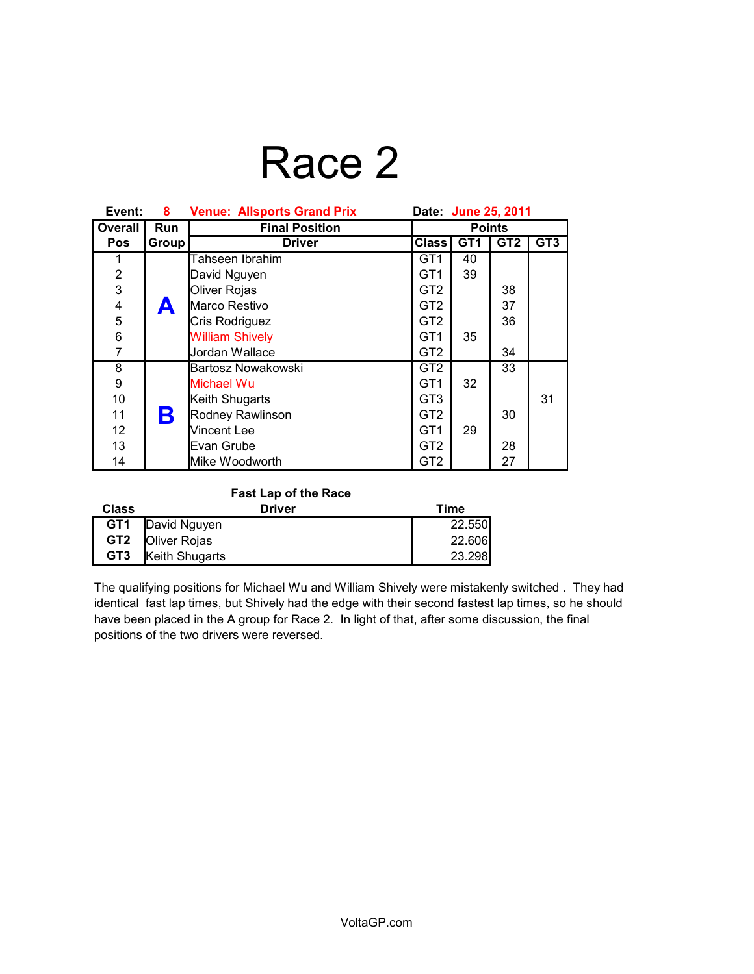# Race 2

| Event:         | 8          | <b>Venue: Allsports Grand Prix</b><br>Date: June 25, 2011 |                 |                 |                 |                 |
|----------------|------------|-----------------------------------------------------------|-----------------|-----------------|-----------------|-----------------|
| <b>Overall</b> | <b>Run</b> | <b>Final Position</b>                                     | <b>Points</b>   |                 |                 |                 |
| <b>Pos</b>     | Group      | <b>Driver</b>                                             | <b>Class</b>    | GT <sub>1</sub> | GT <sub>2</sub> | GT <sub>3</sub> |
|                |            | Tahseen Ibrahim                                           | GT <sub>1</sub> | 40              |                 |                 |
| $\frac{2}{3}$  |            | David Nguyen                                              | GT1             | 39              |                 |                 |
|                |            | Oliver Rojas                                              | GT <sub>2</sub> |                 | 38              |                 |
| 4              | A          | Marco Restivo                                             | GT <sub>2</sub> |                 | 37              |                 |
| 5              |            | Cris Rodriguez                                            | GT <sub>2</sub> |                 | 36              |                 |
| 6              |            | <b>William Shively</b>                                    | GT <sub>1</sub> | 35              |                 |                 |
| $\overline{7}$ |            | Jordan Wallace                                            | GT <sub>2</sub> |                 | 34              |                 |
| 8              |            | <b>Bartosz Nowakowski</b>                                 | GT <sub>2</sub> |                 | 33              |                 |
| 9              |            | Michael Wu                                                | GT1             | 32              |                 |                 |
| 10             |            | Keith Shugarts                                            | GT3             |                 |                 | 31              |
| 11             | В          | Rodney Rawlinson                                          | GT <sub>2</sub> |                 | 30              |                 |
| 12             |            | Vincent Lee                                               | GT <sub>1</sub> | 29              |                 |                 |
| 13             |            | Evan Grube                                                | GT <sub>2</sub> |                 | 28              |                 |
| 14             |            | Mike Woodworth                                            | GT2             |                 | 27              |                 |

#### **Fast Lap of the Race**

| <b>Class</b>    | <b>Driver</b>           | Time   |
|-----------------|-------------------------|--------|
| GT1             | David Nguyen            | 22.550 |
|                 | <b>GT2 Oliver Rojas</b> | 22.606 |
| GT <sub>3</sub> | Keith Shugarts          | 23.298 |

The qualifying positions for Michael Wu and William Shively were mistakenly switched . They had identical fast lap times, but Shively had the edge with their second fastest lap times, so he should have been placed in the A group for Race 2. In light of that, after some discussion, the final positions of the two drivers were reversed.